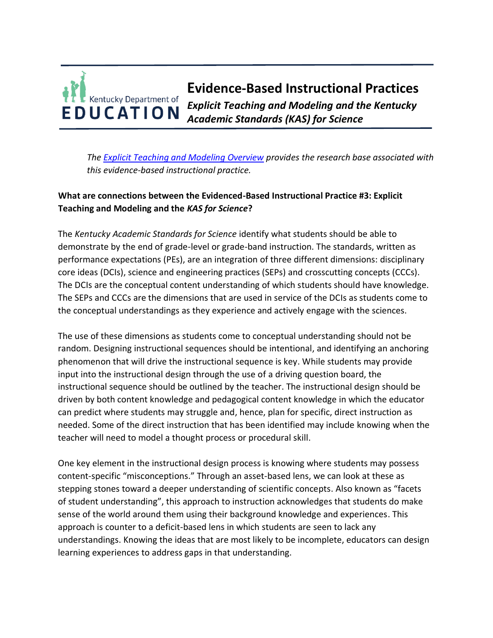## **Evidence-Based Instructional Practices**  Kentucky Department of *Explicit Teaching and Modeling and the Kentucky*  EDUCATION *Academic Standards (KAS) for Science*

*The [Explicit Teaching and Modeling Overview](https://education.ky.gov/curriculum/standards/kyacadstand/Documents/EBIP_3_Explicit_Teaching_and_Modeling.pdf) provides the research base associated with this evidence-based instructional practice.*

## **What are connections between the Evidenced-Based Instructional Practice #3: Explicit Teaching and Modeling and the** *KAS for Science***?**

The *Kentucky Academic Standards for Science* identify what students should be able to demonstrate by the end of grade-level or grade-band instruction. The standards, written as performance expectations (PEs), are an integration of three different dimensions: disciplinary core ideas (DCIs), science and engineering practices (SEPs) and crosscutting concepts (CCCs). The DCIs are the conceptual content understanding of which students should have knowledge. The SEPs and CCCs are the dimensions that are used in service of the DCIs as students come to the conceptual understandings as they experience and actively engage with the sciences.

The use of these dimensions as students come to conceptual understanding should not be random. Designing instructional sequences should be intentional, and identifying an anchoring phenomenon that will drive the instructional sequence is key. While students may provide input into the instructional design through the use of a driving question board, the instructional sequence should be outlined by the teacher. The instructional design should be driven by both content knowledge and pedagogical content knowledge in which the educator can predict where students may struggle and, hence, plan for specific, direct instruction as needed. Some of the direct instruction that has been identified may include knowing when the teacher will need to model a thought process or procedural skill.

One key element in the instructional design process is knowing where students may possess content-specific "misconceptions." Through an asset-based lens, we can look at these as stepping stones toward a deeper understanding of scientific concepts. Also known as "facets of student understanding", this approach to instruction acknowledges that students do make sense of the world around them using their background knowledge and experiences. This approach is counter to a deficit-based lens in which students are seen to lack any understandings. Knowing the ideas that are most likely to be incomplete, educators can design learning experiences to address gaps in that understanding.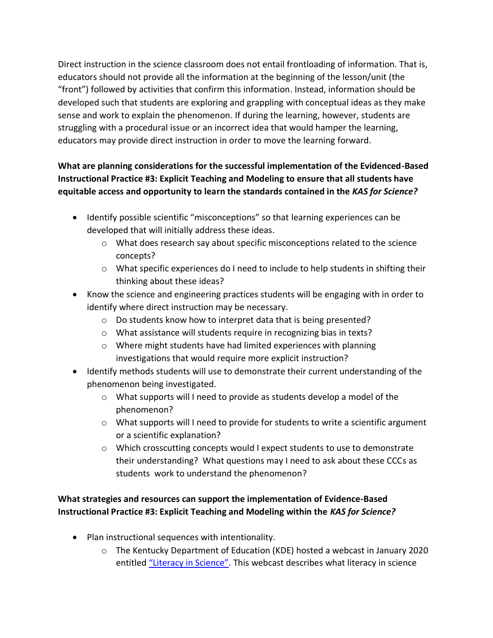Direct instruction in the science classroom does not entail frontloading of information. That is, educators should not provide all the information at the beginning of the lesson/unit (the "front") followed by activities that confirm this information. Instead, information should be developed such that students are exploring and grappling with conceptual ideas as they make sense and work to explain the phenomenon. If during the learning, however, students are struggling with a procedural issue or an incorrect idea that would hamper the learning, educators may provide direct instruction in order to move the learning forward.

## **What are planning considerations for the successful implementation of the Evidenced-Based Instructional Practice #3: Explicit Teaching and Modeling to ensure that all students have equitable access and opportunity to learn the standards contained in the** *KAS for Science?*

- Identify possible scientific "misconceptions" so that learning experiences can be developed that will initially address these ideas.
	- $\circ$  What does research say about specific misconceptions related to the science concepts?
	- $\circ$  What specific experiences do I need to include to help students in shifting their thinking about these ideas?
- Know the science and engineering practices students will be engaging with in order to identify where direct instruction may be necessary.
	- o Do students know how to interpret data that is being presented?
	- o What assistance will students require in recognizing bias in texts?
	- o Where might students have had limited experiences with planning investigations that would require more explicit instruction?
- Identify methods students will use to demonstrate their current understanding of the phenomenon being investigated.
	- o What supports will I need to provide as students develop a model of the phenomenon?
	- $\circ$  What supports will I need to provide for students to write a scientific argument or a scientific explanation?
	- $\circ$  Which crosscutting concepts would I expect students to use to demonstrate their understanding? What questions may I need to ask about these CCCs as students work to understand the phenomenon?

## **What strategies and resources can support the implementation of Evidence-Based Instructional Practice #3: Explicit Teaching and Modeling within the** *KAS for Science?*

- Plan instructional sequences with intentionality.
	- $\circ$  The Kentucky Department of Education (KDE) hosted a webcast in January 2020 entitled ["Literacy in Science"](https://www.youtube.com/watch?v=6-8jdGFtfM0). This webcast describes what literacy in science